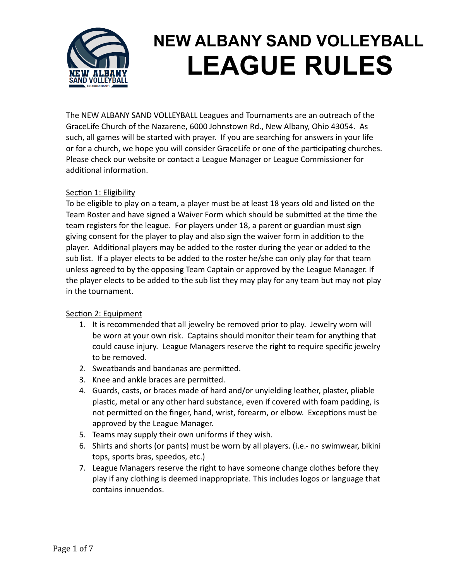

The NEW ALBANY SAND VOLLEYBALL Leagues and Tournaments are an outreach of the GraceLife Church of the Nazarene, 6000 Johnstown Rd., New Albany, Ohio 43054. As such, all games will be started with prayer. If you are searching for answers in your life or for a church, we hope you will consider GraceLife or one of the participating churches. Please check our website or contact a League Manager or League Commissioner for additional information.

#### Section 1: Eligibility

To be eligible to play on a team, a player must be at least 18 years old and listed on the Team Roster and have signed a Waiver Form which should be submitted at the time the team registers for the league. For players under 18, a parent or guardian must sign giving consent for the player to play and also sign the waiver form in addition to the player. Additional players may be added to the roster during the year or added to the sub list. If a player elects to be added to the roster he/she can only play for that team unless agreed to by the opposing Team Captain or approved by the League Manager. If the player elects to be added to the sub list they may play for any team but may not play in the tournament.

#### Section 2: Equipment

- 1. It is recommended that all jewelry be removed prior to play. Jewelry worn will be worn at your own risk. Captains should monitor their team for anything that could cause injury. League Managers reserve the right to require specific jewelry to be removed.
- 2. Sweatbands and bandanas are permitted.
- 3. Knee and ankle braces are permitted.
- 4. Guards, casts, or braces made of hard and/or unyielding leather, plaster, pliable plastic, metal or any other hard substance, even if covered with foam padding, is not permitted on the finger, hand, wrist, forearm, or elbow. Exceptions must be approved by the League Manager.
- 5. Teams may supply their own uniforms if they wish.
- 6. Shirts and shorts (or pants) must be worn by all players. (i.e.- no swimwear, bikini tops, sports bras, speedos, etc.)
- 7. League Managers reserve the right to have someone change clothes before they play if any clothing is deemed inappropriate. This includes logos or language that contains innuendos.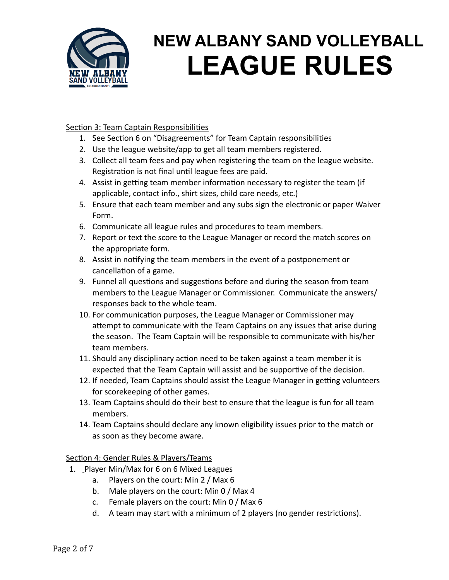

### Section 3: Team Captain Responsibilities

- 1. See Section 6 on "Disagreements" for Team Captain responsibilities
- 2. Use the league website/app to get all team members registered.
- 3. Collect all team fees and pay when registering the team on the league website. Registration is not final until league fees are paid.
- 4. Assist in getting team member information necessary to register the team (if applicable, contact info., shirt sizes, child care needs, etc.)
- 5. Ensure that each team member and any subs sign the electronic or paper Waiver Form.
- 6. Communicate all league rules and procedures to team members.
- 7. Report or text the score to the League Manager or record the match scores on the appropriate form.
- 8. Assist in notifying the team members in the event of a postponement or cancellation of a game.
- 9. Funnel all questions and suggestions before and during the season from team members to the League Manager or Commissioner. Communicate the answers/ responses back to the whole team.
- 10. For communication purposes, the League Manager or Commissioner may attempt to communicate with the Team Captains on any issues that arise during the season. The Team Captain will be responsible to communicate with his/her team members.
- 11. Should any disciplinary action need to be taken against a team member it is expected that the Team Captain will assist and be supportive of the decision.
- 12. If needed, Team Captains should assist the League Manager in getting volunteers for scorekeeping of other games.
- 13. Team Captains should do their best to ensure that the league is fun for all team members.
- 14. Team Captains should declare any known eligibility issues prior to the match or as soon as they become aware.

#### Section 4: Gender Rules & Players/Teams

- 1. Player Min/Max for 6 on 6 Mixed Leagues
	- a. Players on the court: Min 2 / Max 6
	- b. Male players on the court: Min 0 / Max 4
	- c. Female players on the court: Min 0 / Max 6
	- d. A team may start with a minimum of 2 players (no gender restrictions).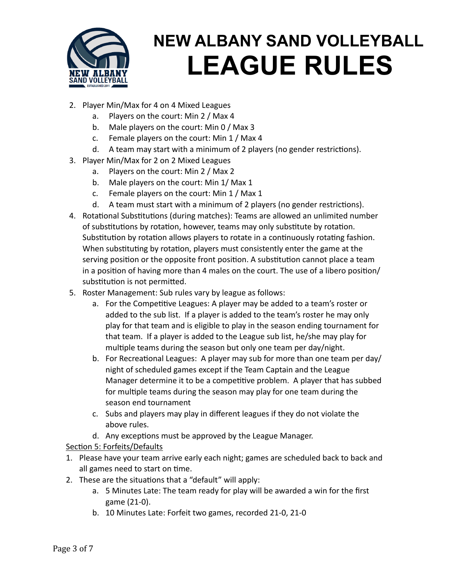

- 2. Player Min/Max for 4 on 4 Mixed Leagues
	- a. Players on the court: Min 2 / Max 4
	- b. Male players on the court: Min 0 / Max 3
	- c. Female players on the court: Min 1 / Max 4
	- d. A team may start with a minimum of 2 players (no gender restrictions).
- 3. Player Min/Max for 2 on 2 Mixed Leagues
	- a. Players on the court: Min 2 / Max 2
	- b. Male players on the court: Min 1/ Max 1
	- c. Female players on the court: Min 1 / Max 1
	- d. A team must start with a minimum of 2 players (no gender restrictions).
- 4. Rotational Substitutions (during matches): Teams are allowed an unlimited number of substitutions by rotation, however, teams may only substitute by rotation. Substitution by rotation allows players to rotate in a continuously rotating fashion. When substituting by rotation, players must consistently enter the game at the serving position or the opposite front position. A substitution cannot place a team in a position of having more than 4 males on the court. The use of a libero position/ substitution is not permitted.
- 5. Roster Management: Sub rules vary by league as follows:
	- a. For the Competitive Leagues: A player may be added to a team's roster or added to the sub list. If a player is added to the team's roster he may only play for that team and is eligible to play in the season ending tournament for that team. If a player is added to the League sub list, he/she may play for multiple teams during the season but only one team per day/night.
	- b. For Recreational Leagues: A player may sub for more than one team per day/ night of scheduled games except if the Team Captain and the League Manager determine it to be a competitive problem. A player that has subbed for multiple teams during the season may play for one team during the season end tournament
	- c. Subs and players may play in different leagues if they do not violate the above rules.
	- d. Any exceptions must be approved by the League Manager.

#### Section 5: Forfeits/Defaults

- 1. Please have your team arrive early each night; games are scheduled back to back and all games need to start on time.
- 2. These are the situations that a "default" will apply:
	- a. 5 Minutes Late: The team ready for play will be awarded a win for the first game (21-0).
	- b. 10 Minutes Late: Forfeit two games, recorded 21-0, 21-0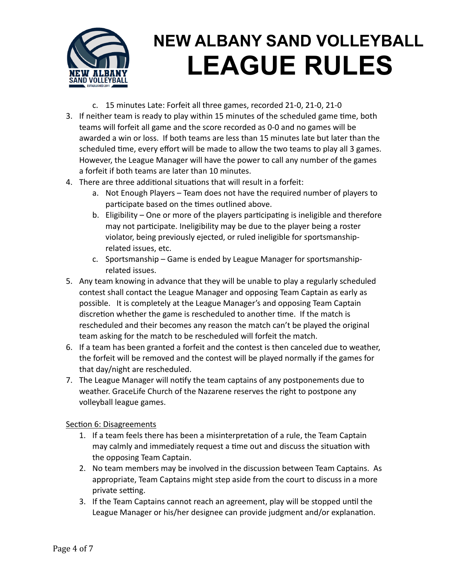

- c. 15 minutes Late: Forfeit all three games, recorded 21-0, 21-0, 21-0
- 3. If neither team is ready to play within 15 minutes of the scheduled game time, both teams will forfeit all game and the score recorded as 0-0 and no games will be awarded a win or loss. If both teams are less than 15 minutes late but later than the scheduled time, every effort will be made to allow the two teams to play all 3 games. However, the League Manager will have the power to call any number of the games a forfeit if both teams are later than 10 minutes.
- 4. There are three additional situations that will result in a forfeit:
	- a. Not Enough Players Team does not have the required number of players to participate based on the times outlined above.
	- b. Eligibility One or more of the players participating is ineligible and therefore may not participate. Ineligibility may be due to the player being a roster violator, being previously ejected, or ruled ineligible for sportsmanshiprelated issues, etc.
	- c. Sportsmanship Game is ended by League Manager for sportsmanshiprelated issues.
- 5. Any team knowing in advance that they will be unable to play a regularly scheduled contest shall contact the League Manager and opposing Team Captain as early as possible. It is completely at the League Manager's and opposing Team Captain discretion whether the game is rescheduled to another time. If the match is rescheduled and their becomes any reason the match can't be played the original team asking for the match to be rescheduled will forfeit the match.
- 6. If a team has been granted a forfeit and the contest is then canceled due to weather, the forfeit will be removed and the contest will be played normally if the games for that day/night are rescheduled.
- 7. The League Manager will notify the team captains of any postponements due to weather. GraceLife Church of the Nazarene reserves the right to postpone any volleyball league games.

Section 6: Disagreements

- 1. If a team feels there has been a misinterpretation of a rule, the Team Captain may calmly and immediately request a time out and discuss the situation with the opposing Team Captain.
- 2. No team members may be involved in the discussion between Team Captains. As appropriate, Team Captains might step aside from the court to discuss in a more private setting.
- 3. If the Team Captains cannot reach an agreement, play will be stopped until the League Manager or his/her designee can provide judgment and/or explanation.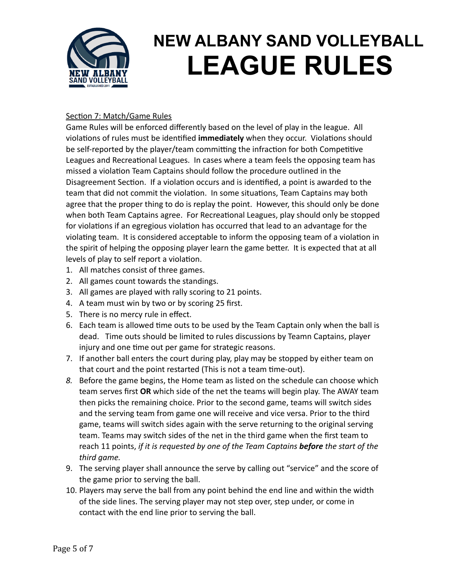

### Section 7: Match/Game Rules

Game Rules will be enforced differently based on the level of play in the league. All violations of rules must be identified **immediately** when they occur. Violations should be self-reported by the player/team committing the infraction for both Competitive Leagues and Recreational Leagues. In cases where a team feels the opposing team has missed a violation Team Captains should follow the procedure outlined in the Disagreement Section. If a violation occurs and is identified, a point is awarded to the team that did not commit the violation. In some situations, Team Captains may both agree that the proper thing to do is replay the point. However, this should only be done when both Team Captains agree. For Recreational Leagues, play should only be stopped for violations if an egregious violation has occurred that lead to an advantage for the violating team. It is considered acceptable to inform the opposing team of a violation in the spirit of helping the opposing player learn the game better. It is expected that at all levels of play to self report a violation.

- 1. All matches consist of three games.
- 2. All games count towards the standings.
- 3. All games are played with rally scoring to 21 points.
- 4. A team must win by two or by scoring 25 first.
- 5. There is no mercy rule in effect.
- 6. Each team is allowed time outs to be used by the Team Captain only when the ball is dead. Time outs should be limited to rules discussions by Teamn Captains, player injury and one time out per game for strategic reasons.
- 7. If another ball enters the court during play, play may be stopped by either team on that court and the point restarted (This is not a team time-out).
- *8.* Before the game begins, the Home team as listed on the schedule can choose which team serves first **OR** which side of the net the teams will begin play. The AWAY team then picks the remaining choice. Prior to the second game, teams will switch sides and the serving team from game one will receive and vice versa. Prior to the third game, teams will switch sides again with the serve returning to the original serving team. Teams may switch sides of the net in the third game when the first team to reach 11 points, *if it is requested by one of the Team Captains before the start of the third game.*
- 9. The serving player shall announce the serve by calling out "service" and the score of the game prior to serving the ball.
- 10. Players may serve the ball from any point behind the end line and within the width of the side lines. The serving player may not step over, step under, or come in contact with the end line prior to serving the ball.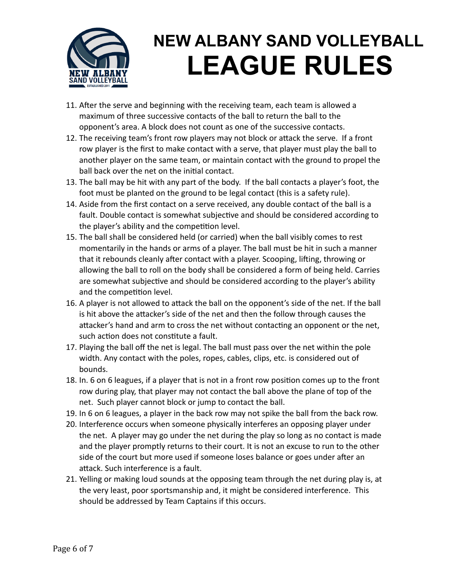

- 11. After the serve and beginning with the receiving team, each team is allowed a maximum of three successive contacts of the ball to return the ball to the opponent's area. A block does not count as one of the successive contacts.
- 12. The receiving team's front row players may not block or attack the serve. If a front row player is the first to make contact with a serve, that player must play the ball to another player on the same team, or maintain contact with the ground to propel the ball back over the net on the initial contact.
- 13. The ball may be hit with any part of the body. If the ball contacts a player's foot, the foot must be planted on the ground to be legal contact (this is a safety rule).
- 14. Aside from the first contact on a serve received, any double contact of the ball is a fault. Double contact is somewhat subjective and should be considered according to the player's ability and the competition level.
- 15. The ball shall be considered held (or carried) when the ball visibly comes to rest momentarily in the hands or arms of a player. The ball must be hit in such a manner that it rebounds cleanly after contact with a player. Scooping, lifting, throwing or allowing the ball to roll on the body shall be considered a form of being held. Carries are somewhat subjective and should be considered according to the player's ability and the competition level.
- 16. A player is not allowed to attack the ball on the opponent's side of the net. If the ball is hit above the attacker's side of the net and then the follow through causes the attacker's hand and arm to cross the net without contacting an opponent or the net, such action does not constitute a fault.
- 17. Playing the ball off the net is legal. The ball must pass over the net within the pole width. Any contact with the poles, ropes, cables, clips, etc. is considered out of bounds.
- 18. In. 6 on 6 leagues, if a player that is not in a front row position comes up to the front row during play, that player may not contact the ball above the plane of top of the net. Such player cannot block or jump to contact the ball.
- 19. In 6 on 6 leagues, a player in the back row may not spike the ball from the back row.
- 20. Interference occurs when someone physically interferes an opposing player under the net. A player may go under the net during the play so long as no contact is made and the player promptly returns to their court. It is not an excuse to run to the other side of the court but more used if someone loses balance or goes under after an attack. Such interference is a fault.
- 21. Yelling or making loud sounds at the opposing team through the net during play is, at the very least, poor sportsmanship and, it might be considered interference. This should be addressed by Team Captains if this occurs.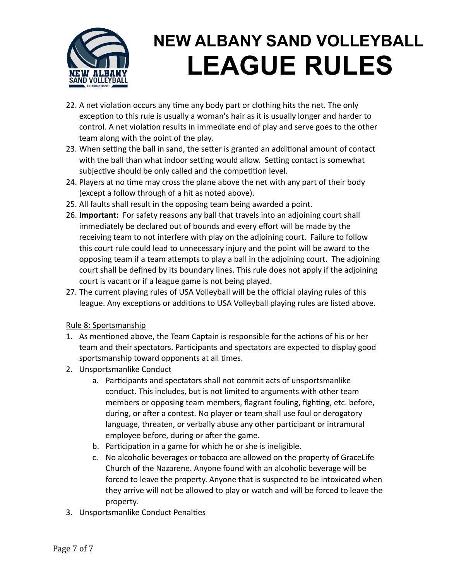

- 22. A net violation occurs any time any body part or clothing hits the net. The only exception to this rule is usually a woman's hair as it is usually longer and harder to control. A net violation results in immediate end of play and serve goes to the other team along with the point of the play.
- 23. When setting the ball in sand, the setter is granted an additional amount of contact with the ball than what indoor setting would allow. Setting contact is somewhat subjective should be only called and the competition level.
- 24. Players at no time may cross the plane above the net with any part of their body (except a follow through of a hit as noted above).
- 25. All faults shall result in the opposing team being awarded a point.
- 26. **Important:** For safety reasons any ball that travels into an adjoining court shall immediately be declared out of bounds and every effort will be made by the receiving team to not interfere with play on the adjoining court. Failure to follow this court rule could lead to unnecessary injury and the point will be award to the opposing team if a team attempts to play a ball in the adjoining court. The adjoining court shall be defined by its boundary lines. This rule does not apply if the adjoining court is vacant or if a league game is not being played.
- 27. The current playing rules of USA Volleyball will be the official playing rules of this league. Any exceptions or additions to USA Volleyball playing rules are listed above.

Rule 8: Sportsmanship

- 1. As mentioned above, the Team Captain is responsible for the actions of his or her team and their spectators. Participants and spectators are expected to display good sportsmanship toward opponents at all times.
- 2. Unsportsmanlike Conduct
	- a. Participants and spectators shall not commit acts of unsportsmanlike conduct. This includes, but is not limited to arguments with other team members or opposing team members, flagrant fouling, fighting, etc. before, during, or after a contest. No player or team shall use foul or derogatory language, threaten, or verbally abuse any other participant or intramural employee before, during or after the game.
	- b. Participation in a game for which he or she is ineligible.
	- c. No alcoholic beverages or tobacco are allowed on the property of GraceLife Church of the Nazarene. Anyone found with an alcoholic beverage will be forced to leave the property. Anyone that is suspected to be intoxicated when they arrive will not be allowed to play or watch and will be forced to leave the property.
- 3. Unsportsmanlike Conduct Penalties